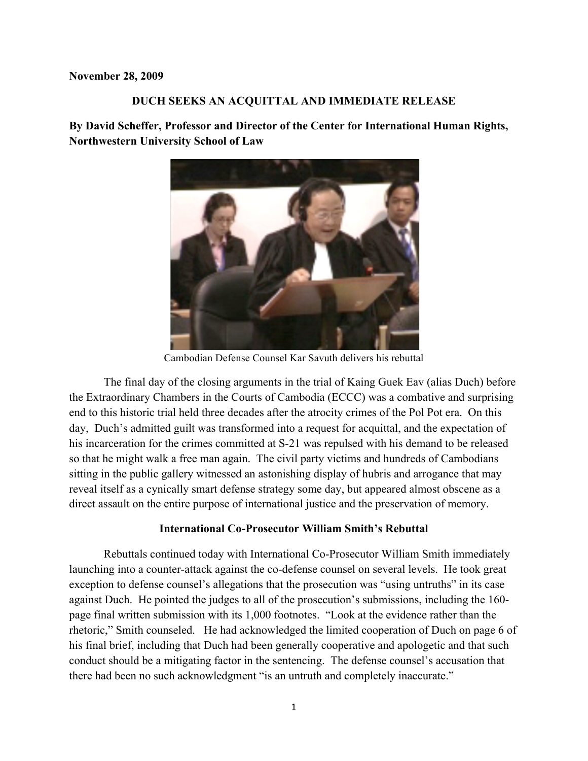#### **November 28, 2009**

## **DUCH SEEKS AN ACQUITTAL AND IMMEDIATE RELEASE**

**By David Scheffer, Professor and Director of the Center for International Human Rights, Northwestern University School of Law**



Cambodian Defense Counsel Kar Savuth delivers his rebuttal

The final day of the closing arguments in the trial of Kaing Guek Eav (alias Duch) before the Extraordinary Chambers in the Courts of Cambodia (ECCC) was a combative and surprising end to this historic trial held three decades after the atrocity crimes of the Pol Pot era. On this day, Duch's admitted guilt was transformed into a request for acquittal, and the expectation of his incarceration for the crimes committed at S-21 was repulsed with his demand to be released so that he might walk a free man again. The civil party victims and hundreds of Cambodians sitting in the public gallery witnessed an astonishing display of hubris and arrogance that may reveal itself as a cynically smart defense strategy some day, but appeared almost obscene as a direct assault on the entire purpose of international justice and the preservation of memory.

# **International Co-Prosecutor William Smith's Rebuttal**

Rebuttals continued today with International Co-Prosecutor William Smith immediately launching into a counter-attack against the co-defense counsel on several levels. He took great exception to defense counsel's allegations that the prosecution was "using untruths" in its case against Duch. He pointed the judges to all of the prosecution's submissions, including the 160 page final written submission with its 1,000 footnotes. "Look at the evidence rather than the rhetoric," Smith counseled. He had acknowledged the limited cooperation of Duch on page 6 of his final brief, including that Duch had been generally cooperative and apologetic and that such conduct should be a mitigating factor in the sentencing. The defense counsel's accusation that there had been no such acknowledgment "is an untruth and completely inaccurate."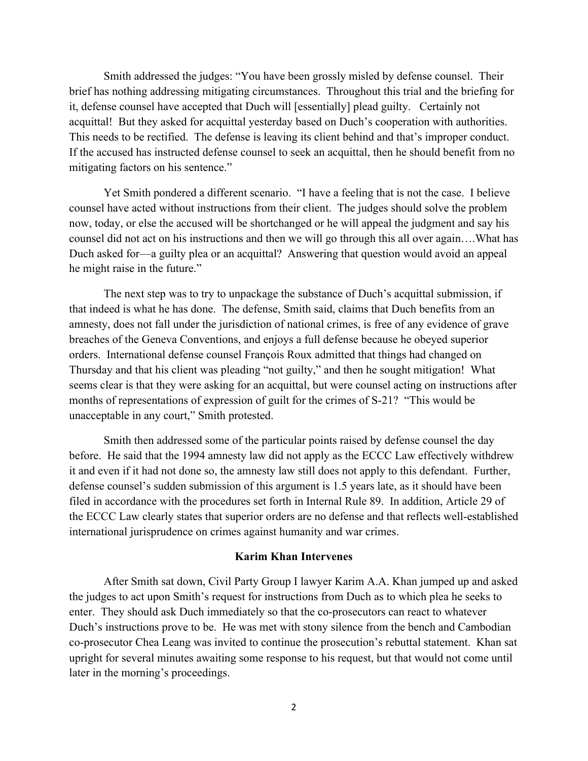Smith addressed the judges: "You have been grossly misled by defense counsel. Their brief has nothing addressing mitigating circumstances. Throughout this trial and the briefing for it, defense counsel have accepted that Duch will [essentially] plead guilty. Certainly not acquittal! But they asked for acquittal yesterday based on Duch's cooperation with authorities. This needs to be rectified. The defense is leaving its client behind and that's improper conduct. If the accused has instructed defense counsel to seek an acquittal, then he should benefit from no mitigating factors on his sentence."

Yet Smith pondered a different scenario. "I have a feeling that is not the case. I believe counsel have acted without instructions from their client. The judges should solve the problem now, today, or else the accused will be shortchanged or he will appeal the judgment and say his counsel did not act on his instructions and then we will go through this all over again….What has Duch asked for—a guilty plea or an acquittal? Answering that question would avoid an appeal he might raise in the future."

The next step was to try to unpackage the substance of Duch's acquittal submission, if that indeed is what he has done. The defense, Smith said, claims that Duch benefits from an amnesty, does not fall under the jurisdiction of national crimes, is free of any evidence of grave breaches of the Geneva Conventions, and enjoys a full defense because he obeyed superior orders. International defense counsel François Roux admitted that things had changed on Thursday and that his client was pleading "not guilty," and then he sought mitigation! What seems clear is that they were asking for an acquittal, but were counsel acting on instructions after months of representations of expression of guilt for the crimes of S-21? "This would be unacceptable in any court," Smith protested.

Smith then addressed some of the particular points raised by defense counsel the day before. He said that the 1994 amnesty law did not apply as the ECCC Law effectively withdrew it and even if it had not done so, the amnesty law still does not apply to this defendant. Further, defense counsel's sudden submission of this argument is 1.5 years late, as it should have been filed in accordance with the procedures set forth in Internal Rule 89. In addition, Article 29 of the ECCC Law clearly states that superior orders are no defense and that reflects well-established international jurisprudence on crimes against humanity and war crimes.

# **Karim Khan Intervenes**

After Smith sat down, Civil Party Group I lawyer Karim A.A. Khan jumped up and asked the judges to act upon Smith's request for instructions from Duch as to which plea he seeks to enter. They should ask Duch immediately so that the co-prosecutors can react to whatever Duch's instructions prove to be. He was met with stony silence from the bench and Cambodian co-prosecutor Chea Leang was invited to continue the prosecution's rebuttal statement. Khan sat upright for several minutes awaiting some response to his request, but that would not come until later in the morning's proceedings.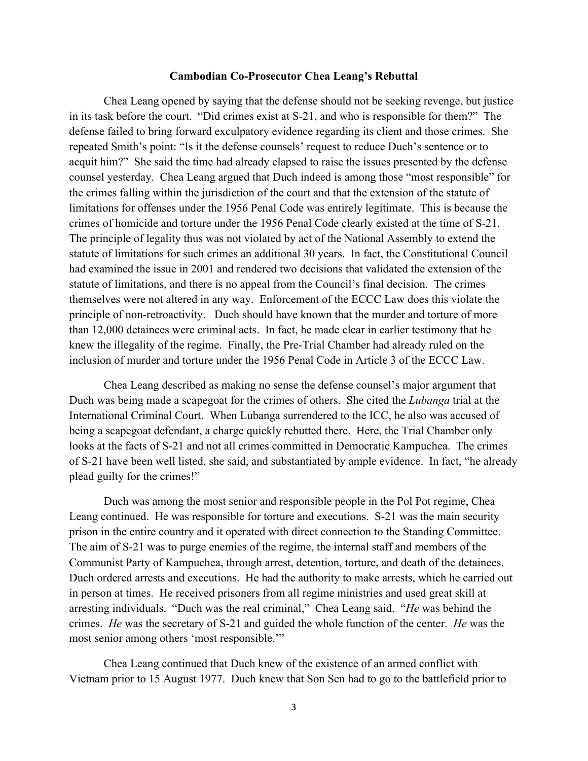#### **Cambodian Co-Prosecutor Chea Leang's Rebuttal**

Chea Leang opened by saying that the defense should not be seeking revenge, but justice in its task before the court. "Did crimes exist at S-21, and who is responsible for them?" The defense failed to bring forward exculpatory evidence regarding its client and those crimes. She repeated Smith's point: "Is it the defense counsels' request to reduce Duch's sentence or to acquit him?" She said the time had already elapsed to raise the issues presented by the defense counsel yesterday. Chea Leang argued that Duch indeed is among those "most responsible" for the crimes falling within the jurisdiction of the court and that the extension of the statute of limitations for offenses under the 1956 Penal Code was entirely legitimate. This is because the crimes of homicide and torture under the 1956 Penal Code clearly existed at the time of S-21. The principle of legality thus was not violated by act of the National Assembly to extend the statute of limitations for such crimes an additional 30 years. In fact, the Constitutional Council had examined the issue in 2001 and rendered two decisions that validated the extension of the statute of limitations, and there is no appeal from the Council's final decision. The crimes themselves were not altered in any way. Enforcement of the ECCC Law does this violate the principle of non-retroactivity. Duch should have known that the murder and torture of more than 12,000 detainees were criminal acts. In fact, he made clear in earlier testimony that he knew the illegality of the regime. Finally, the Pre-Trial Chamber had already ruled on the inclusion of murder and torture under the 1956 Penal Code in Article 3 of the ECCC Law.

Chea Leang described as making no sense the defense counsel's major argument that Duch was being made a scapegoat for the crimes of others. She cited the *Lubanga* trial at the International Criminal Court. When Lubanga surrendered to the ICC, he also was accused of being a scapegoat defendant, a charge quickly rebutted there. Here, the Trial Chamber only looks at the facts of S-21 and not all crimes committed in Democratic Kampuchea. The crimes of S-21 have been well listed, she said, and substantiated by ample evidence. In fact, "he already plead guilty for the crimes!"

Duch was among the most senior and responsible people in the Pol Pot regime, Chea Leang continued. He was responsible for torture and executions. S-21 was the main security prison in the entire country and it operated with direct connection to the Standing Committee. The aim of S-21 was to purge enemies of the regime, the internal staff and members of the Communist Party of Kampuchea, through arrest, detention, torture, and death of the detainees. Duch ordered arrests and executions. He had the authority to make arrests, which he carried out in person at times. He received prisoners from all regime ministries and used great skill at arresting individuals. "Duch was the real criminal," Chea Leang said. "*He* was behind the crimes. *He* was the secretary of S-21 and guided the whole function of the center. *He* was the most senior among others 'most responsible.'"

Chea Leang continued that Duch knew of the existence of an armed conflict with Vietnam prior to 15 August 1977. Duch knew that Son Sen had to go to the battlefield prior to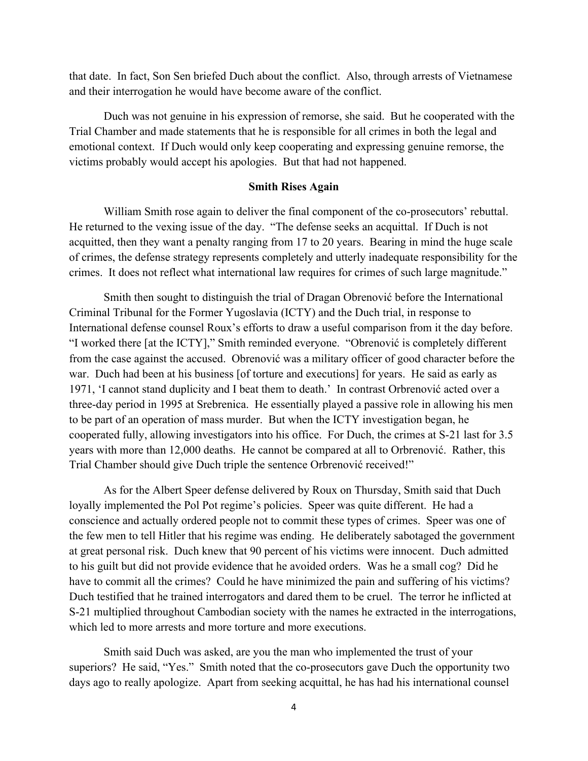that date. In fact, Son Sen briefed Duch about the conflict. Also, through arrests of Vietnamese and their interrogation he would have become aware of the conflict.

Duch was not genuine in his expression of remorse, she said. But he cooperated with the Trial Chamber and made statements that he is responsible for all crimes in both the legal and emotional context. If Duch would only keep cooperating and expressing genuine remorse, the victims probably would accept his apologies. But that had not happened.

## **Smith Rises Again**

William Smith rose again to deliver the final component of the co-prosecutors' rebuttal. He returned to the vexing issue of the day. "The defense seeks an acquittal. If Duch is not acquitted, then they want a penalty ranging from 17 to 20 years. Bearing in mind the huge scale of crimes, the defense strategy represents completely and utterly inadequate responsibility for the crimes. It does not reflect what international law requires for crimes of such large magnitude."

Smith then sought to distinguish the trial of Dragan Obrenović before the International Criminal Tribunal for the Former Yugoslavia (ICTY) and the Duch trial, in response to International defense counsel Roux's efforts to draw a useful comparison from it the day before. "I worked there [at the ICTY]," Smith reminded everyone. "Obrenović is completely different from the case against the accused. Obrenović was a military officer of good character before the war. Duch had been at his business [of torture and executions] for years. He said as early as 1971, 'I cannot stand duplicity and I beat them to death.' In contrast Orbrenović acted over a three-day period in 1995 at Srebrenica. He essentially played a passive role in allowing his men to be part of an operation of mass murder. But when the ICTY investigation began, he cooperated fully, allowing investigators into his office. For Duch, the crimes at S-21 last for 3.5 years with more than 12,000 deaths. He cannot be compared at all to Orbrenović. Rather, this Trial Chamber should give Duch triple the sentence Orbrenović received!"

As for the Albert Speer defense delivered by Roux on Thursday, Smith said that Duch loyally implemented the Pol Pot regime's policies. Speer was quite different. He had a conscience and actually ordered people not to commit these types of crimes. Speer was one of the few men to tell Hitler that his regime was ending. He deliberately sabotaged the government at great personal risk. Duch knew that 90 percent of his victims were innocent. Duch admitted to his guilt but did not provide evidence that he avoided orders. Was he a small cog? Did he have to commit all the crimes? Could he have minimized the pain and suffering of his victims? Duch testified that he trained interrogators and dared them to be cruel. The terror he inflicted at S-21 multiplied throughout Cambodian society with the names he extracted in the interrogations, which led to more arrests and more torture and more executions.

Smith said Duch was asked, are you the man who implemented the trust of your superiors? He said, "Yes." Smith noted that the co-prosecutors gave Duch the opportunity two days ago to really apologize. Apart from seeking acquittal, he has had his international counsel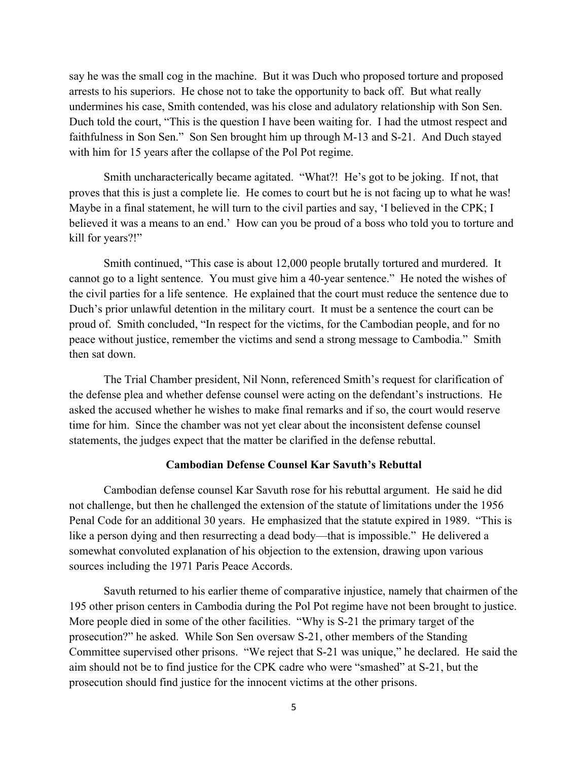say he was the small cog in the machine. But it was Duch who proposed torture and proposed arrests to his superiors. He chose not to take the opportunity to back off. But what really undermines his case, Smith contended, was his close and adulatory relationship with Son Sen. Duch told the court, "This is the question I have been waiting for. I had the utmost respect and faithfulness in Son Sen." Son Sen brought him up through M-13 and S-21. And Duch stayed with him for 15 years after the collapse of the Pol Pot regime.

Smith uncharacterically became agitated. "What?! He's got to be joking. If not, that proves that this is just a complete lie. He comes to court but he is not facing up to what he was! Maybe in a final statement, he will turn to the civil parties and say, 'I believed in the CPK; I believed it was a means to an end.' How can you be proud of a boss who told you to torture and kill for years?!"

Smith continued, "This case is about 12,000 people brutally tortured and murdered. It cannot go to a light sentence. You must give him a 40-year sentence." He noted the wishes of the civil parties for a life sentence. He explained that the court must reduce the sentence due to Duch's prior unlawful detention in the military court. It must be a sentence the court can be proud of. Smith concluded, "In respect for the victims, for the Cambodian people, and for no peace without justice, remember the victims and send a strong message to Cambodia." Smith then sat down.

The Trial Chamber president, Nil Nonn, referenced Smith's request for clarification of the defense plea and whether defense counsel were acting on the defendant's instructions. He asked the accused whether he wishes to make final remarks and if so, the court would reserve time for him. Since the chamber was not yet clear about the inconsistent defense counsel statements, the judges expect that the matter be clarified in the defense rebuttal.

## **Cambodian Defense Counsel Kar Savuth's Rebuttal**

Cambodian defense counsel Kar Savuth rose for his rebuttal argument. He said he did not challenge, but then he challenged the extension of the statute of limitations under the 1956 Penal Code for an additional 30 years. He emphasized that the statute expired in 1989. "This is like a person dying and then resurrecting a dead body—that is impossible." He delivered a somewhat convoluted explanation of his objection to the extension, drawing upon various sources including the 1971 Paris Peace Accords.

Savuth returned to his earlier theme of comparative injustice, namely that chairmen of the 195 other prison centers in Cambodia during the Pol Pot regime have not been brought to justice. More people died in some of the other facilities. "Why is S-21 the primary target of the prosecution?" he asked. While Son Sen oversaw S-21, other members of the Standing Committee supervised other prisons. "We reject that S-21 was unique," he declared. He said the aim should not be to find justice for the CPK cadre who were "smashed" at S-21, but the prosecution should find justice for the innocent victims at the other prisons.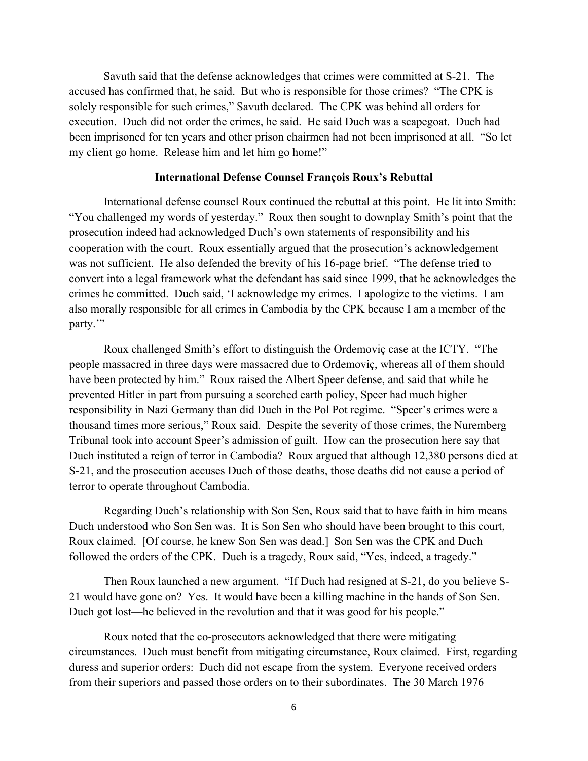Savuth said that the defense acknowledges that crimes were committed at S-21. The accused has confirmed that, he said. But who is responsible for those crimes? "The CPK is solely responsible for such crimes," Savuth declared. The CPK was behind all orders for execution. Duch did not order the crimes, he said. He said Duch was a scapegoat. Duch had been imprisoned for ten years and other prison chairmen had not been imprisoned at all. "So let my client go home. Release him and let him go home!"

### **International Defense Counsel François Roux's Rebuttal**

International defense counsel Roux continued the rebuttal at this point. He lit into Smith: "You challenged my words of yesterday." Roux then sought to downplay Smith's point that the prosecution indeed had acknowledged Duch's own statements of responsibility and his cooperation with the court. Roux essentially argued that the prosecution's acknowledgement was not sufficient. He also defended the brevity of his 16-page brief. "The defense tried to convert into a legal framework what the defendant has said since 1999, that he acknowledges the crimes he committed. Duch said, 'I acknowledge my crimes. I apologize to the victims. I am also morally responsible for all crimes in Cambodia by the CPK because I am a member of the party."

Roux challenged Smith's effort to distinguish the Ordemoviç case at the ICTY. "The people massacred in three days were massacred due to Ordemoviç, whereas all of them should have been protected by him." Roux raised the Albert Speer defense, and said that while he prevented Hitler in part from pursuing a scorched earth policy, Speer had much higher responsibility in Nazi Germany than did Duch in the Pol Pot regime. "Speer's crimes were a thousand times more serious," Roux said. Despite the severity of those crimes, the Nuremberg Tribunal took into account Speer's admission of guilt. How can the prosecution here say that Duch instituted a reign of terror in Cambodia? Roux argued that although 12,380 persons died at S-21, and the prosecution accuses Duch of those deaths, those deaths did not cause a period of terror to operate throughout Cambodia.

Regarding Duch's relationship with Son Sen, Roux said that to have faith in him means Duch understood who Son Sen was. It is Son Sen who should have been brought to this court, Roux claimed. [Of course, he knew Son Sen was dead.] Son Sen was the CPK and Duch followed the orders of the CPK. Duch is a tragedy, Roux said, "Yes, indeed, a tragedy."

Then Roux launched a new argument. "If Duch had resigned at S-21, do you believe S-21 would have gone on? Yes. It would have been a killing machine in the hands of Son Sen. Duch got lost—he believed in the revolution and that it was good for his people."

Roux noted that the co-prosecutors acknowledged that there were mitigating circumstances. Duch must benefit from mitigating circumstance, Roux claimed. First, regarding duress and superior orders: Duch did not escape from the system. Everyone received orders from their superiors and passed those orders on to their subordinates. The 30 March 1976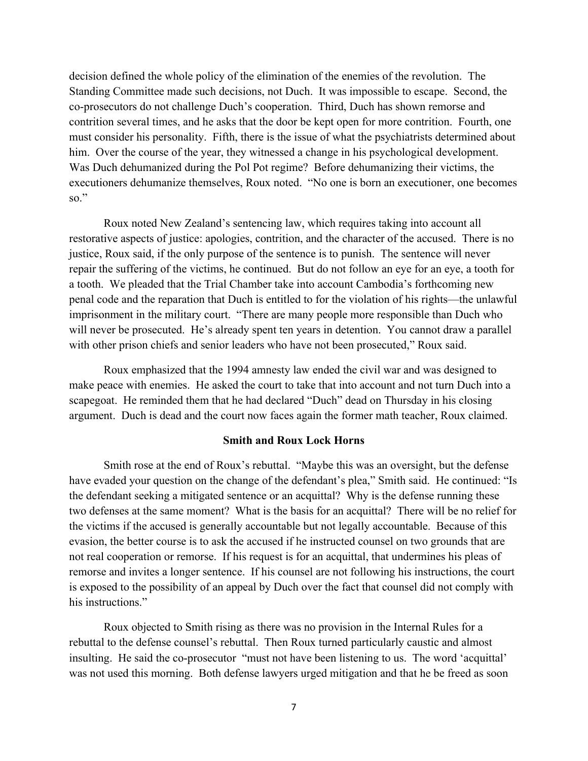decision defined the whole policy of the elimination of the enemies of the revolution. The Standing Committee made such decisions, not Duch. It was impossible to escape. Second, the co-prosecutors do not challenge Duch's cooperation. Third, Duch has shown remorse and contrition several times, and he asks that the door be kept open for more contrition. Fourth, one must consider his personality. Fifth, there is the issue of what the psychiatrists determined about him. Over the course of the year, they witnessed a change in his psychological development. Was Duch dehumanized during the Pol Pot regime? Before dehumanizing their victims, the executioners dehumanize themselves, Roux noted. "No one is born an executioner, one becomes so."

Roux noted New Zealand's sentencing law, which requires taking into account all restorative aspects of justice: apologies, contrition, and the character of the accused. There is no justice, Roux said, if the only purpose of the sentence is to punish. The sentence will never repair the suffering of the victims, he continued. But do not follow an eye for an eye, a tooth for a tooth. We pleaded that the Trial Chamber take into account Cambodia's forthcoming new penal code and the reparation that Duch is entitled to for the violation of his rights—the unlawful imprisonment in the military court. "There are many people more responsible than Duch who will never be prosecuted. He's already spent ten years in detention. You cannot draw a parallel with other prison chiefs and senior leaders who have not been prosecuted," Roux said.

Roux emphasized that the 1994 amnesty law ended the civil war and was designed to make peace with enemies. He asked the court to take that into account and not turn Duch into a scapegoat. He reminded them that he had declared "Duch" dead on Thursday in his closing argument. Duch is dead and the court now faces again the former math teacher, Roux claimed.

# **Smith and Roux Lock Horns**

Smith rose at the end of Roux's rebuttal. "Maybe this was an oversight, but the defense have evaded your question on the change of the defendant's plea," Smith said. He continued: "Is the defendant seeking a mitigated sentence or an acquittal? Why is the defense running these two defenses at the same moment? What is the basis for an acquittal? There will be no relief for the victims if the accused is generally accountable but not legally accountable. Because of this evasion, the better course is to ask the accused if he instructed counsel on two grounds that are not real cooperation or remorse. If his request is for an acquittal, that undermines his pleas of remorse and invites a longer sentence. If his counsel are not following his instructions, the court is exposed to the possibility of an appeal by Duch over the fact that counsel did not comply with his instructions."

Roux objected to Smith rising as there was no provision in the Internal Rules for a rebuttal to the defense counsel's rebuttal. Then Roux turned particularly caustic and almost insulting. He said the co-prosecutor "must not have been listening to us. The word 'acquittal' was not used this morning. Both defense lawyers urged mitigation and that he be freed as soon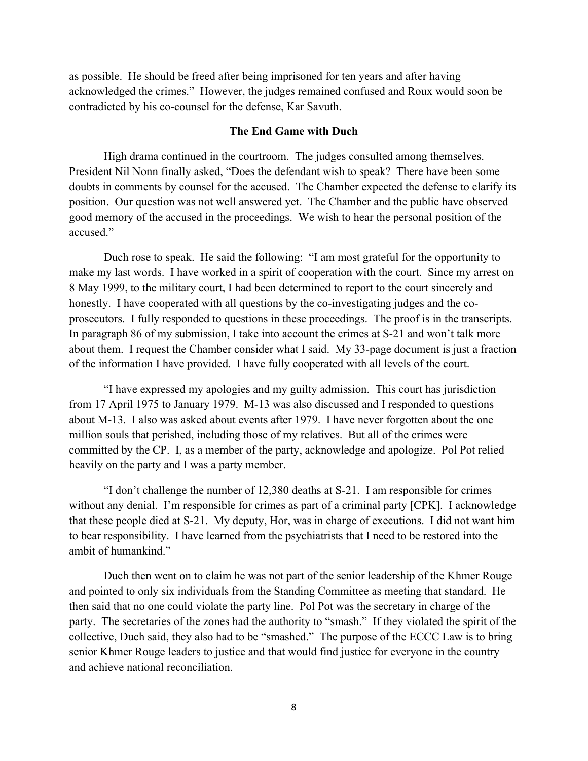as possible. He should be freed after being imprisoned for ten years and after having acknowledged the crimes." However, the judges remained confused and Roux would soon be contradicted by his co-counsel for the defense, Kar Savuth.

## **The End Game with Duch**

High drama continued in the courtroom. The judges consulted among themselves. President Nil Nonn finally asked, "Does the defendant wish to speak? There have been some doubts in comments by counsel for the accused. The Chamber expected the defense to clarify its position. Our question was not well answered yet. The Chamber and the public have observed good memory of the accused in the proceedings. We wish to hear the personal position of the accused."

Duch rose to speak. He said the following: "I am most grateful for the opportunity to make my last words. I have worked in a spirit of cooperation with the court. Since my arrest on 8 May 1999, to the military court, I had been determined to report to the court sincerely and honestly. I have cooperated with all questions by the co-investigating judges and the coprosecutors. I fully responded to questions in these proceedings. The proof is in the transcripts. In paragraph 86 of my submission, I take into account the crimes at S-21 and won't talk more about them. I request the Chamber consider what I said. My 33-page document is just a fraction of the information I have provided. I have fully cooperated with all levels of the court.

"I have expressed my apologies and my guilty admission. This court has jurisdiction from 17 April 1975 to January 1979. M-13 was also discussed and I responded to questions about M-13. I also was asked about events after 1979. I have never forgotten about the one million souls that perished, including those of my relatives. But all of the crimes were committed by the CP. I, as a member of the party, acknowledge and apologize. Pol Pot relied heavily on the party and I was a party member.

"I don't challenge the number of 12,380 deaths at S-21. I am responsible for crimes without any denial. I'm responsible for crimes as part of a criminal party [CPK]. I acknowledge that these people died at S-21. My deputy, Hor, was in charge of executions. I did not want him to bear responsibility. I have learned from the psychiatrists that I need to be restored into the ambit of humankind."

Duch then went on to claim he was not part of the senior leadership of the Khmer Rouge and pointed to only six individuals from the Standing Committee as meeting that standard. He then said that no one could violate the party line. Pol Pot was the secretary in charge of the party. The secretaries of the zones had the authority to "smash." If they violated the spirit of the collective, Duch said, they also had to be "smashed." The purpose of the ECCC Law is to bring senior Khmer Rouge leaders to justice and that would find justice for everyone in the country and achieve national reconciliation.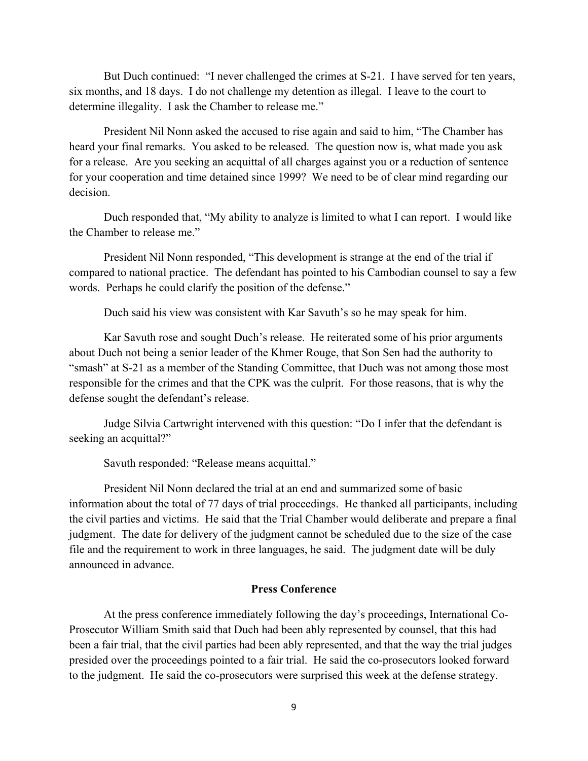But Duch continued: "I never challenged the crimes at S-21. I have served for ten years, six months, and 18 days. I do not challenge my detention as illegal. I leave to the court to determine illegality. I ask the Chamber to release me."

President Nil Nonn asked the accused to rise again and said to him, "The Chamber has heard your final remarks. You asked to be released. The question now is, what made you ask for a release. Are you seeking an acquittal of all charges against you or a reduction of sentence for your cooperation and time detained since 1999? We need to be of clear mind regarding our decision.

Duch responded that, "My ability to analyze is limited to what I can report. I would like the Chamber to release me."

President Nil Nonn responded, "This development is strange at the end of the trial if compared to national practice. The defendant has pointed to his Cambodian counsel to say a few words. Perhaps he could clarify the position of the defense."

Duch said his view was consistent with Kar Savuth's so he may speak for him.

Kar Savuth rose and sought Duch's release. He reiterated some of his prior arguments about Duch not being a senior leader of the Khmer Rouge, that Son Sen had the authority to "smash" at S-21 as a member of the Standing Committee, that Duch was not among those most responsible for the crimes and that the CPK was the culprit. For those reasons, that is why the defense sought the defendant's release.

Judge Silvia Cartwright intervened with this question: "Do I infer that the defendant is seeking an acquittal?"

Savuth responded: "Release means acquittal."

President Nil Nonn declared the trial at an end and summarized some of basic information about the total of 77 days of trial proceedings. He thanked all participants, including the civil parties and victims. He said that the Trial Chamber would deliberate and prepare a final judgment. The date for delivery of the judgment cannot be scheduled due to the size of the case file and the requirement to work in three languages, he said. The judgment date will be duly announced in advance.

# **Press Conference**

At the press conference immediately following the day's proceedings, International Co-Prosecutor William Smith said that Duch had been ably represented by counsel, that this had been a fair trial, that the civil parties had been ably represented, and that the way the trial judges presided over the proceedings pointed to a fair trial. He said the co-prosecutors looked forward to the judgment. He said the co-prosecutors were surprised this week at the defense strategy.